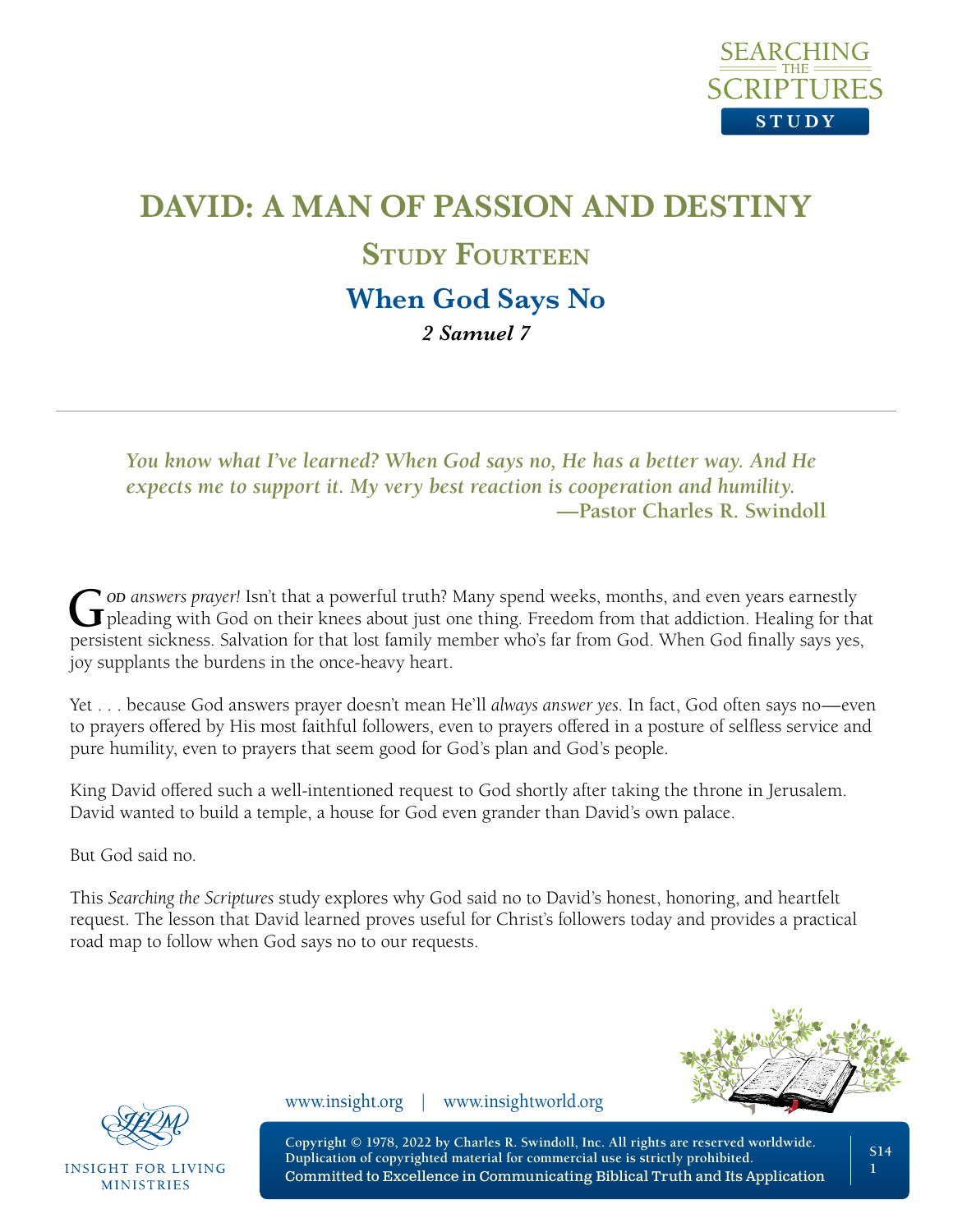

# **DAVID: A MAN OF PASSION AND DESTINY STUDY FOURTEEN When God Says No** *2 Samuel 7*

*You know what I've learned? When God says no, He has a better way. And He expects me to support it. My very best reaction is cooperation and humility.* **—Pastor Charles R. Swindoll**

**G** *od answers prayer!* Isn't that a powerful truth? Many spend weeks, months, and even years earnestly pleading with God on their knees about just one thing. Freedom from that addiction. Healing for that persistent sickness. Salvation for that lost family member who's far from God. When God finally says yes, joy supplants the burdens in the once-heavy heart.

Yet . . . because God answers prayer doesn't mean He'll *always answer yes*. In fact, God often says no—even to prayers offered by His most faithful followers, even to prayers offered in a posture of selfless service and pure humility, even to prayers that seem good for God's plan and God's people.

King David offered such a well-intentioned request to God shortly after taking the throne in Jerusalem. David wanted to build a temple, a house for God even grander than David's own palace.

But God said no.

This *Searching the Scriptures* study explores why God said no to David's honest, honoring, and heartfelt request. The lesson that David learned proves useful for Christ's followers today and provides a practical road map to follow when God says no to our requests.





**INSIGHT FOR LIVING MINISTRIES** 

www.insight.org | www.insightworld.org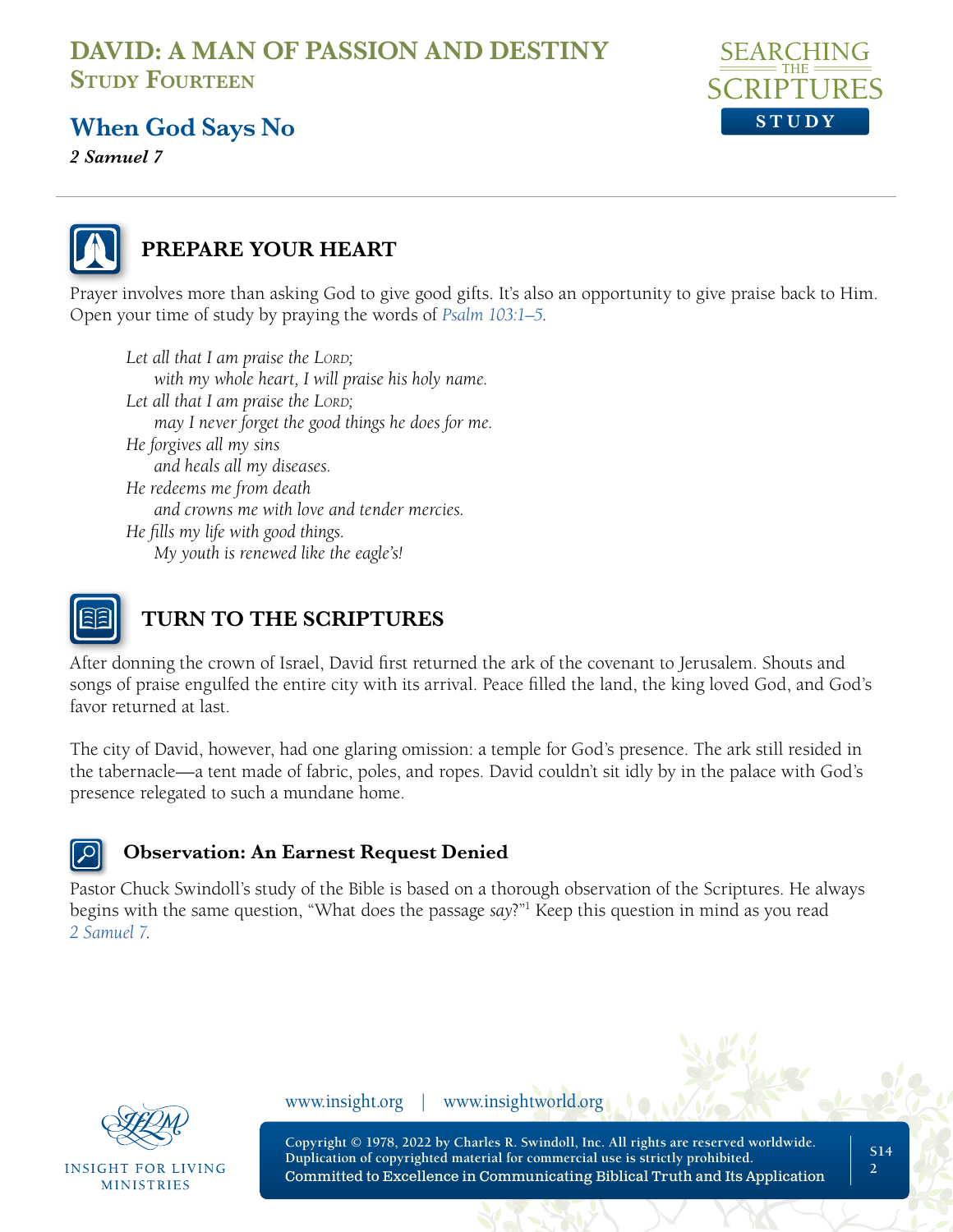

### **When God Says No**

*2 Samuel 7*



#### **PREPARE YOUR HEART**

Prayer involves more than asking God to give good gifts. It's also an opportunity to give praise back to Him. Open your time of study by praying the words of *[Psalm 103:1–5](https://www.biblegateway.com/passage/?search=Psalm+103&version=NLT;NASB1995)*.

*Let all that I am praise the LORD*; *with my whole heart, I will praise his holy name. Let all that I am praise the LORD*; *may I never forget the good things he does for me. He forgives all my sins and heals all my diseases. He redeems me from death and crowns me with love and tender mercies. He fills my life with good things. My youth is renewed like the eagle's!* 



## **TURN TO THE SCRIPTURES**

After donning the crown of Israel, David first returned the ark of the covenant to Jerusalem. Shouts and songs of praise engulfed the entire city with its arrival. Peace filled the land, the king loved God, and God's favor returned at last.

The city of David, however, had one glaring omission: a temple for God's presence. The ark still resided in the tabernacle—a tent made of fabric, poles, and ropes. David couldn't sit idly by in the palace with God's presence relegated to such a mundane home.

#### **Observation: An Earnest Request Denied**

Pastor Chuck Swindoll's study of the Bible is based on a thorough observation of the Scriptures. He always begins with the same question, "What does the passage *say*?"1 Keep this question in mind as you read *[2 Samuel 7](https://www.biblegateway.com/passage/?search=2+Samuel+7&version=NLT;NASB1995)*.



INSIGHT FOR LIVING **MINISTRIES** 

www.insight.org | www.insightworld.org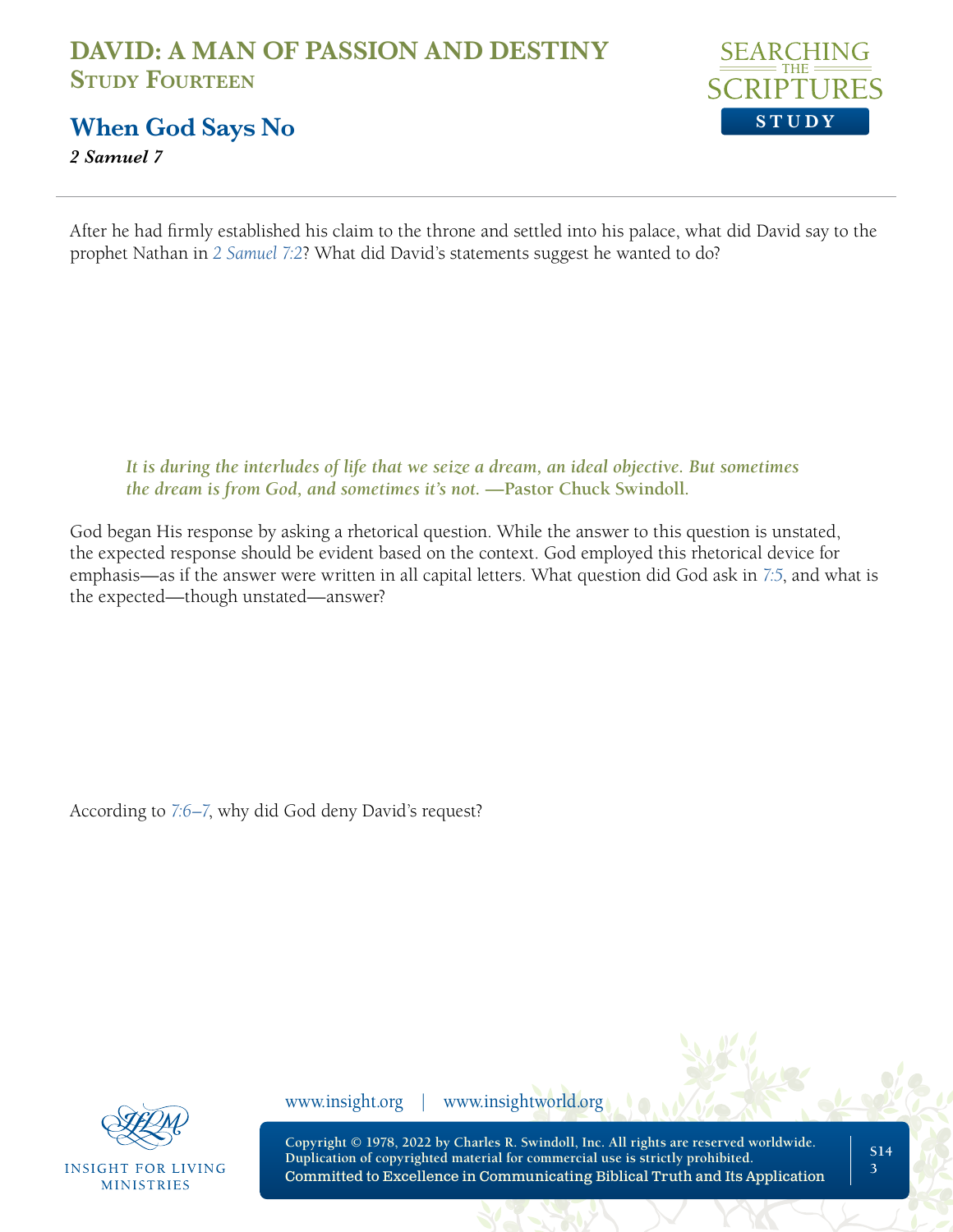

**When God Says No**

*2 Samuel 7*

After he had firmly established his claim to the throne and settled into his palace, what did David say to the prophet Nathan in *[2 Samuel 7:2](https://www.biblegateway.com/passage/?search=2%20Samuel%207%3A2&version=NLT;NASB1995)*? What did David's statements suggest he wanted to do?

*It is during the interludes of life that we seize a dream, an ideal objective. But sometimes the dream is from God, and sometimes it's not.* **—Pastor Chuck Swindoll***.* 

God began His response by asking a rhetorical question. While the answer to this question is unstated, the expected response should be evident based on the context. God employed this rhetorical device for emphasis—as if the answer were written in all capital letters. What question did God ask in *[7:5](https://www.biblegateway.com/passage/?search=2+Samuel+7%3A5&version=NLT;NASB1995)*, and what is the expected—though unstated—answer?

According to *[7:6–7](https://www.biblegateway.com/passage/?search=2+Samuel+7%3A6%E2%80%937&version=NLT;NASB1995)*, why did God deny David's request?



**INSIGHT FOR LIVING MINISTRIES** 

www.insight.org | www.insightworld.org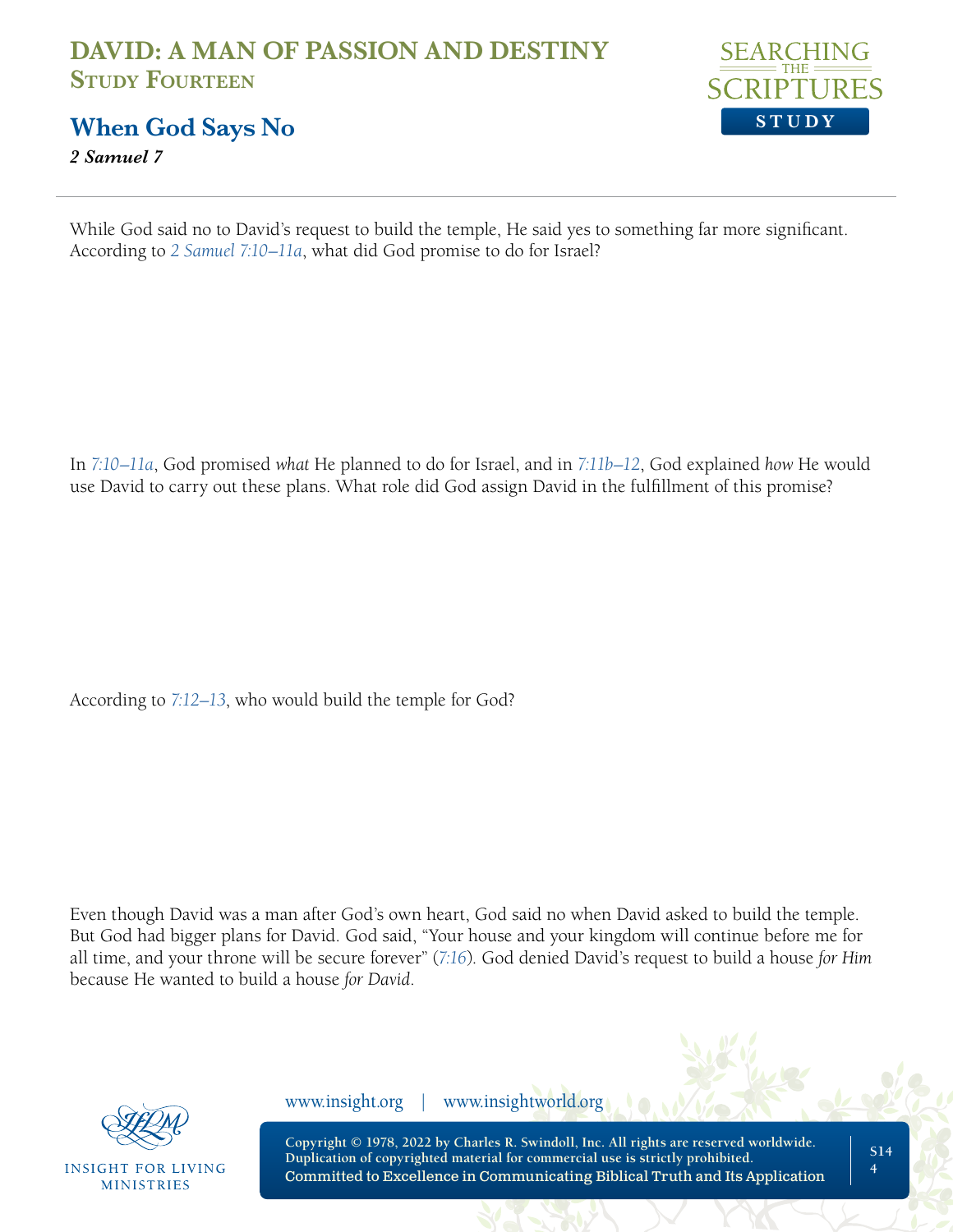

**When God Says No**

*2 Samuel 7*

While God said no to David's request to build the temple, He said yes to something far more significant. According to *[2 Samuel 7:10–11a](https://www.biblegateway.com/passage/?search=2+Samuel+7%3A10%E2%80%9311&version=NLT;NASB1995)*, what did God promise to do for Israel?

In *[7:10–11a](https://www.biblegateway.com/passage/?search=2+Samuel+7%3A10%E2%80%9311&version=NLT;NASB1995)*, God promised *what* He planned to do for Israel, and in *[7:11b–12](https://www.biblegateway.com/passage/?search=2+Samuel+7%3A11%E2%80%9312&version=NLT;NASB1995)*, God explained *how* He would use David to carry out these plans. What role did God assign David in the fulfillment of this promise?

According to *[7:12–13](https://www.biblegateway.com/passage/?search=2+Samuel+7%3A12-13&version=NLT;NASB1995)*, who would build the temple for God?

Even though David was a man after God's own heart, God said no when David asked to build the temple. But God had bigger plans for David. God said, "Your house and your kingdom will continue before me for all time, and your throne will be secure forever" (*[7:16](https://www.biblegateway.com/passage/?search=2+Samuel+7%3A16&version=NLT;NASB1995)*). God denied David's request to build a house *for Him* because He wanted to build a house *for David*.



**INSIGHT FOR LIVING MINISTRIES** 

www.insight.org | www.insightworld.org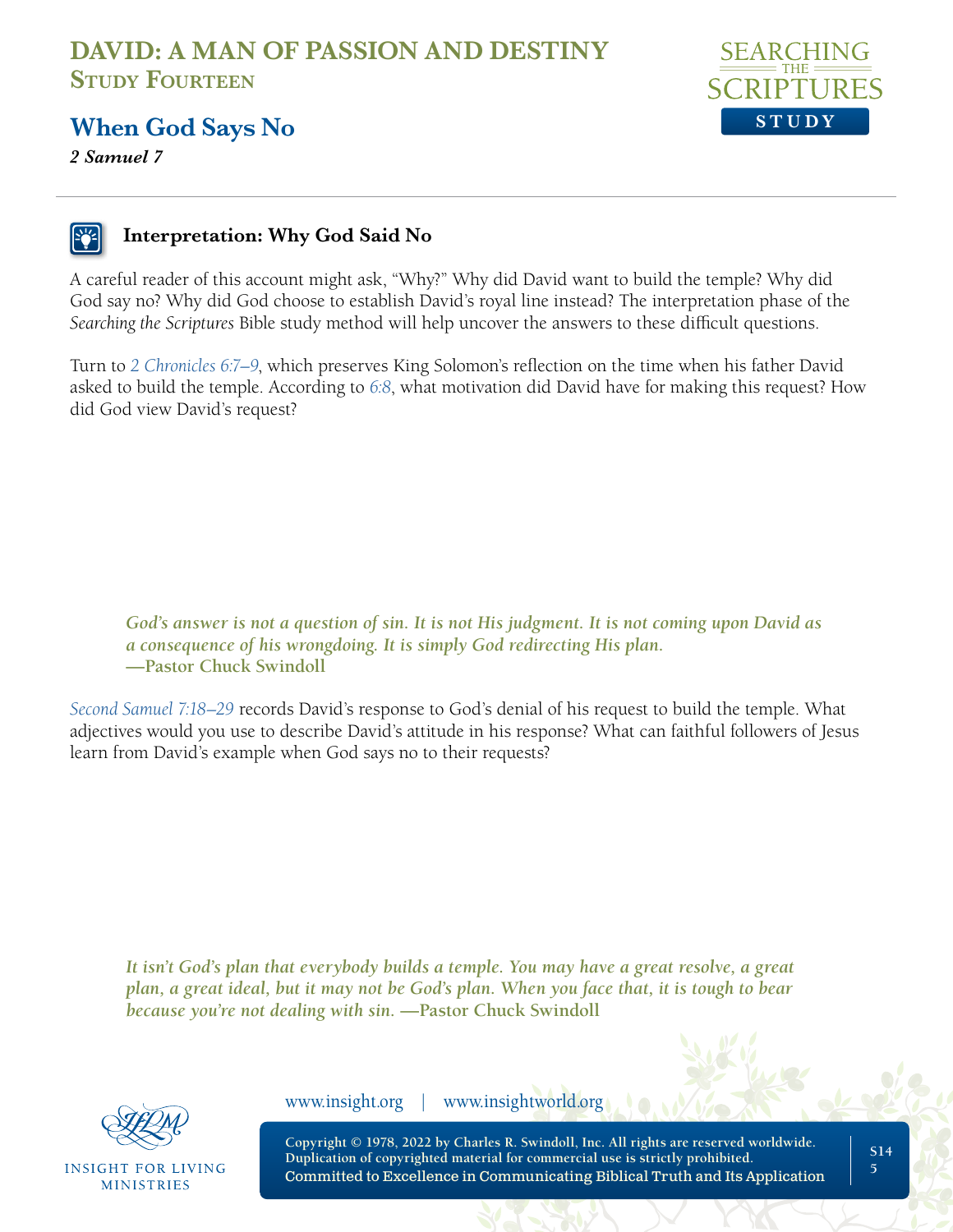

#### **When God Says No**

*2 Samuel 7*

#### **Interpretation: Why God Said No**

A careful reader of this account might ask, "Why?" Why did David want to build the temple? Why did God say no? Why did God choose to establish David's royal line instead? The interpretation phase of the *Searching the Scriptures* Bible study method will help uncover the answers to these difficult questions.

Turn to *[2 Chronicles 6:7–9](https://www.biblegateway.com/passage/?search=2+Chronicles+6%3A7%E2%80%939&version=NLT;NASB1995)*, which preserves King Solomon's reflection on the time when his father David asked to build the temple. According to *[6:8](https://www.biblegateway.com/passage/?search=2+Chronicles+6%3A8&version=NLT;NASB1995)*, what motivation did David have for making this request? How did God view David's request?

*God's answer is not a question of sin. It is not His judgment. It is not coming upon David as a consequence of his wrongdoing. It is simply God redirecting His plan.*  **—Pastor Chuck Swindoll**

*[Second Samuel 7:18–29](https://www.biblegateway.com/passage/?search=2+Samuel+7%3A18%E2%80%9329+&version=NLT;NASB1995)* records David's response to God's denial of his request to build the temple. What adjectives would you use to describe David's attitude in his response? What can faithful followers of Jesus learn from David's example when God says no to their requests?

*It isn't God's plan that everybody builds a temple. You may have a great resolve, a great plan, a great ideal, but it may not be God's plan. When you face that, it is tough to bear because you're not dealing with sin.* **—Pastor Chuck Swindoll**



**INSIGHT FOR LIVING MINISTRIES** 

www.insight.org | www.insightworld.org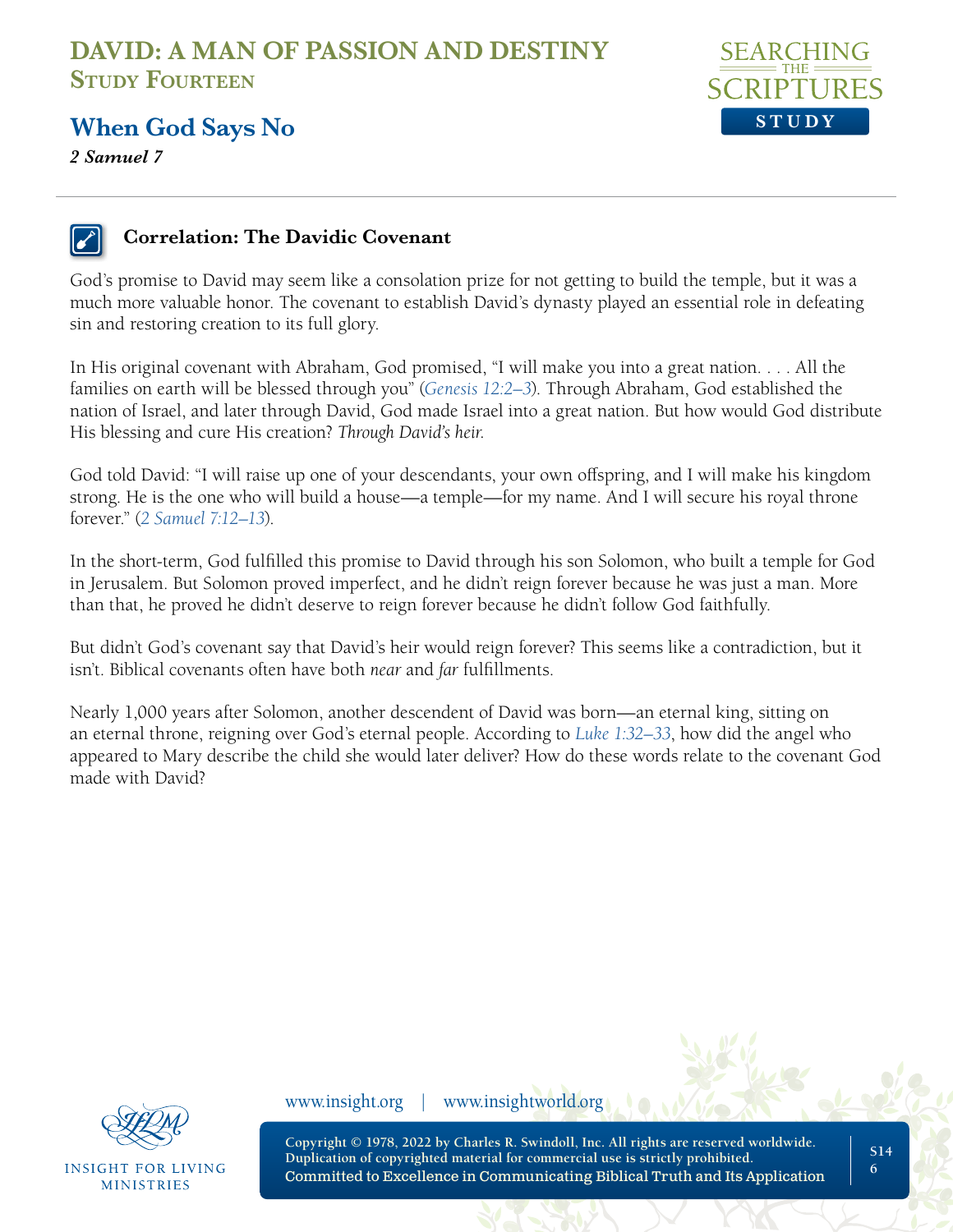

#### **When God Says No**

*2 Samuel 7*



#### **Correlation: The Davidic Covenant**

God's promise to David may seem like a consolation prize for not getting to build the temple, but it was a much more valuable honor. The covenant to establish David's dynasty played an essential role in defeating sin and restoring creation to its full glory.

In His original covenant with Abraham, God promised, "I will make you into a great nation. . . . All the families on earth will be blessed through you" (*[Genesis 12:2–3](https://www.biblegateway.com/passage/?search=Genesis+12%3A2%E2%80%933&version=NLT;NASB1995)*). Through Abraham, God established the nation of Israel, and later through David, God made Israel into a great nation. But how would God distribute His blessing and cure His creation? *Through David's heir.*

God told David: "I will raise up one of your descendants, your own offspring, and I will make his kingdom strong. He is the one who will build a house—a temple—for my name. And I will secure his royal throne forever." (*[2 Samuel 7:12–13](https://www.biblegateway.com/passage/?search=2+Samuel+7%3A12%E2%80%9313&version=NLT;NASB1995)*).

In the short-term, God fulfilled this promise to David through his son Solomon, who built a temple for God in Jerusalem. But Solomon proved imperfect, and he didn't reign forever because he was just a man. More than that, he proved he didn't deserve to reign forever because he didn't follow God faithfully.

But didn't God's covenant say that David's heir would reign forever? This seems like a contradiction, but it isn't. Biblical covenants often have both *near* and *far* fulfillments.

Nearly 1,000 years after Solomon, another descendent of David was born—an eternal king, sitting on an eternal throne, reigning over God's eternal people. According to *[Luke 1:32–33](https://www.biblegateway.com/passage/?search=Luke+1%3A32%E2%80%9333&version=NLT;NASB1995)*, how did the angel who appeared to Mary describe the child she would later deliver? How do these words relate to the covenant God made with David?



**INSIGHT FOR LIVING MINISTRIES** 

www.insight.org | www.insightworld.org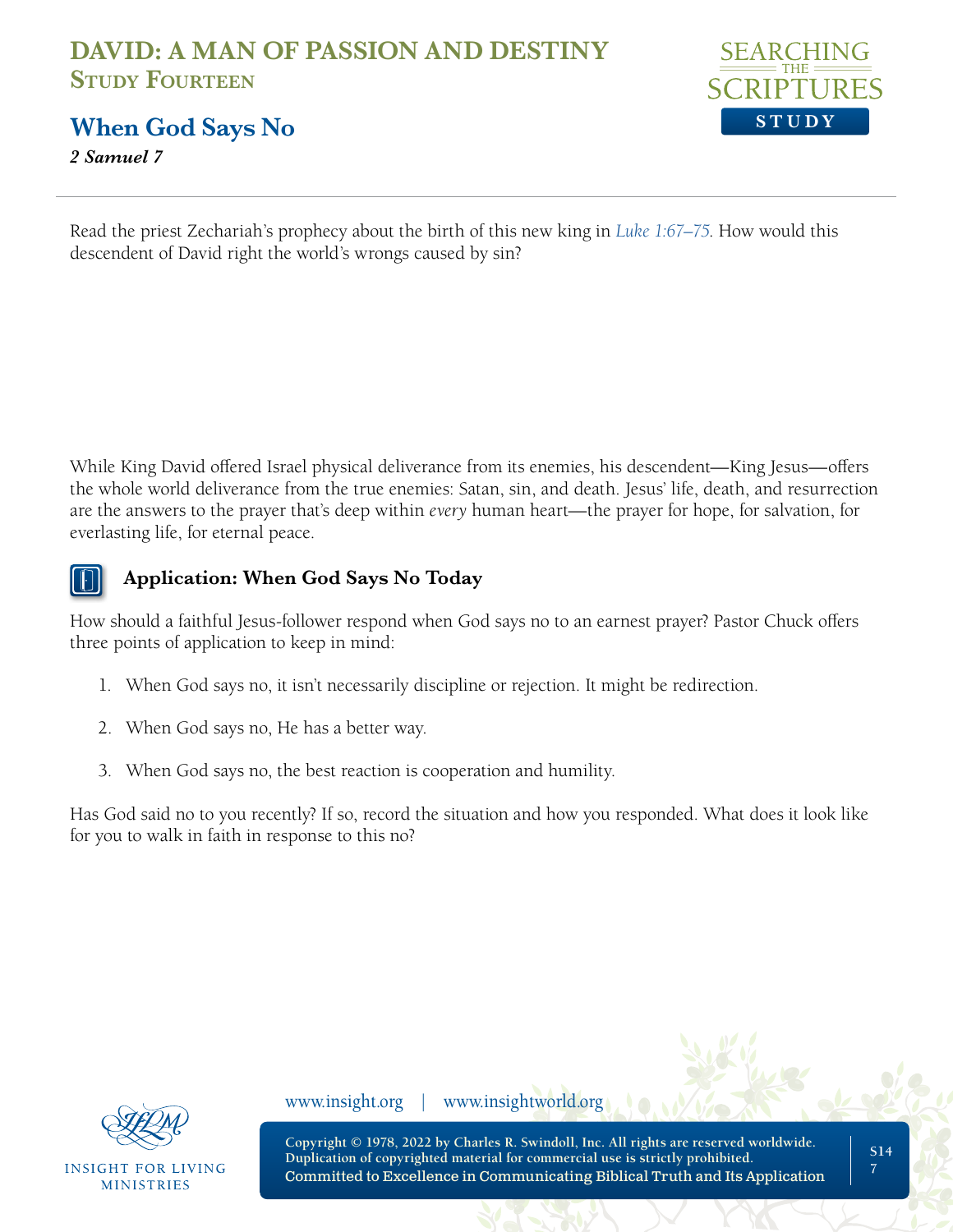

**When God Says No**

*2 Samuel 7*

Read the priest Zechariah's prophecy about the birth of this new king in *[Luke 1:67–75](https://www.biblegateway.com/passage/?search=Luke+1%3A67%E2%80%9375&version=NLT;NASB1995)*. How would this descendent of David right the world's wrongs caused by sin?

While King David offered Israel physical deliverance from its enemies, his descendent—King Jesus—offers the whole world deliverance from the true enemies: Satan, sin, and death. Jesus' life, death, and resurrection are the answers to the prayer that's deep within *every* human heart—the prayer for hope, for salvation, for everlasting life, for eternal peace.



#### **Application: When God Says No Today**

How should a faithful Jesus-follower respond when God says no to an earnest prayer? Pastor Chuck offers three points of application to keep in mind:

- 1. When God says no, it isn't necessarily discipline or rejection. It might be redirection.
- 2. When God says no, He has a better way.
- 3. When God says no, the best reaction is cooperation and humility.

Has God said no to you recently? If so, record the situation and how you responded. What does it look like for you to walk in faith in response to this no?



INSIGHT FOR LIVING **MINISTRIES** 

www.insight.org | www.insightworld.org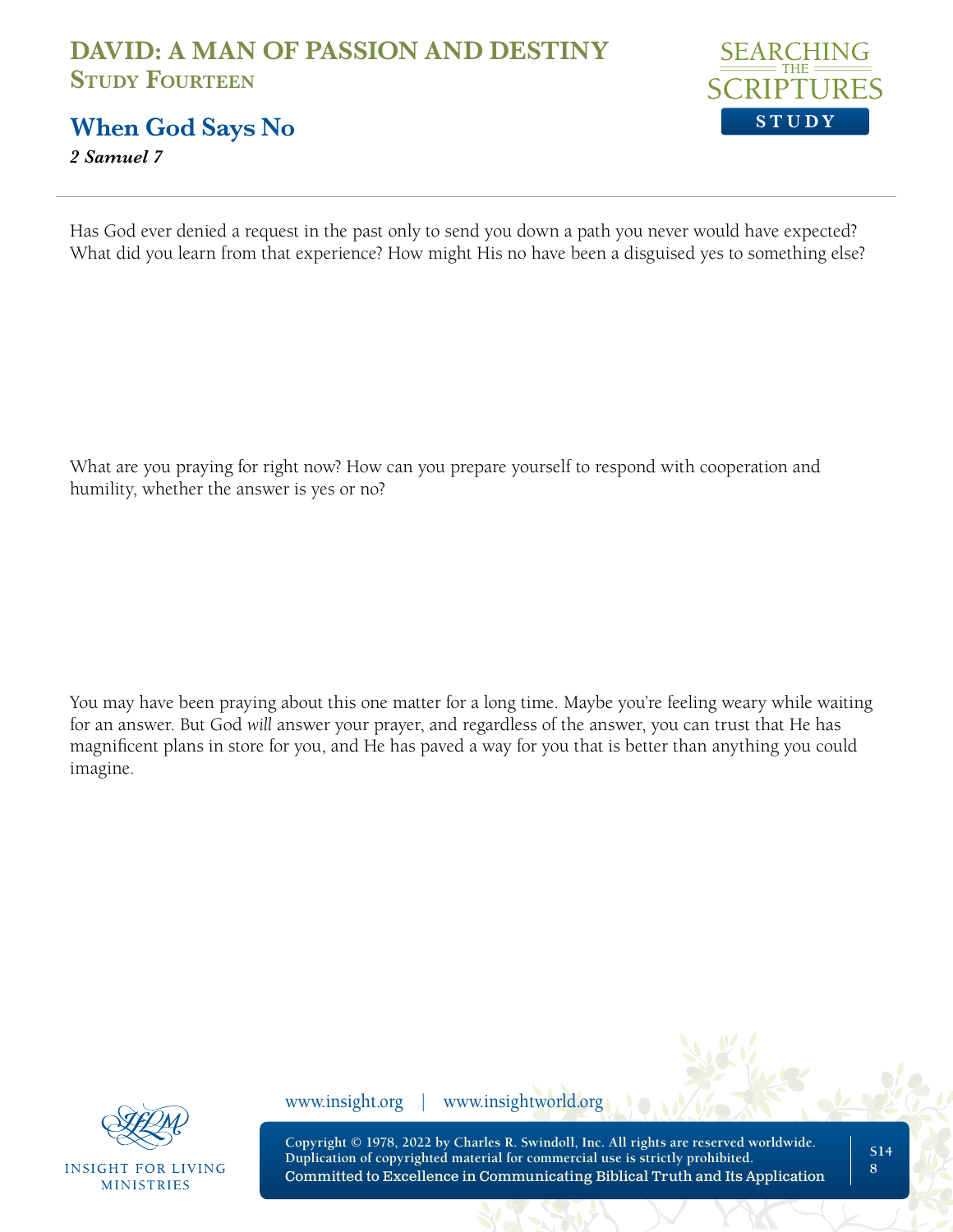

**When God Says No**

*2 Samuel 7*

Has God ever denied a request in the past only to send you down a path you never would have expected? What did you learn from that experience? How might His no have been a disguised yes to something else?

What are you praying for right now? How can you prepare yourself to respond with cooperation and humility, whether the answer is yes or no?

You may have been praying about this one matter for a long time. Maybe you're feeling weary while waiting for an answer. But God *will* answer your prayer, and regardless of the answer, you can trust that He has magnificent plans in store for you, and He has paved a way for you that is better than anything you could imagine.



**INSIGHT FOR LIVING MINISTRIES** 

www.insight.org | www.insightworld.org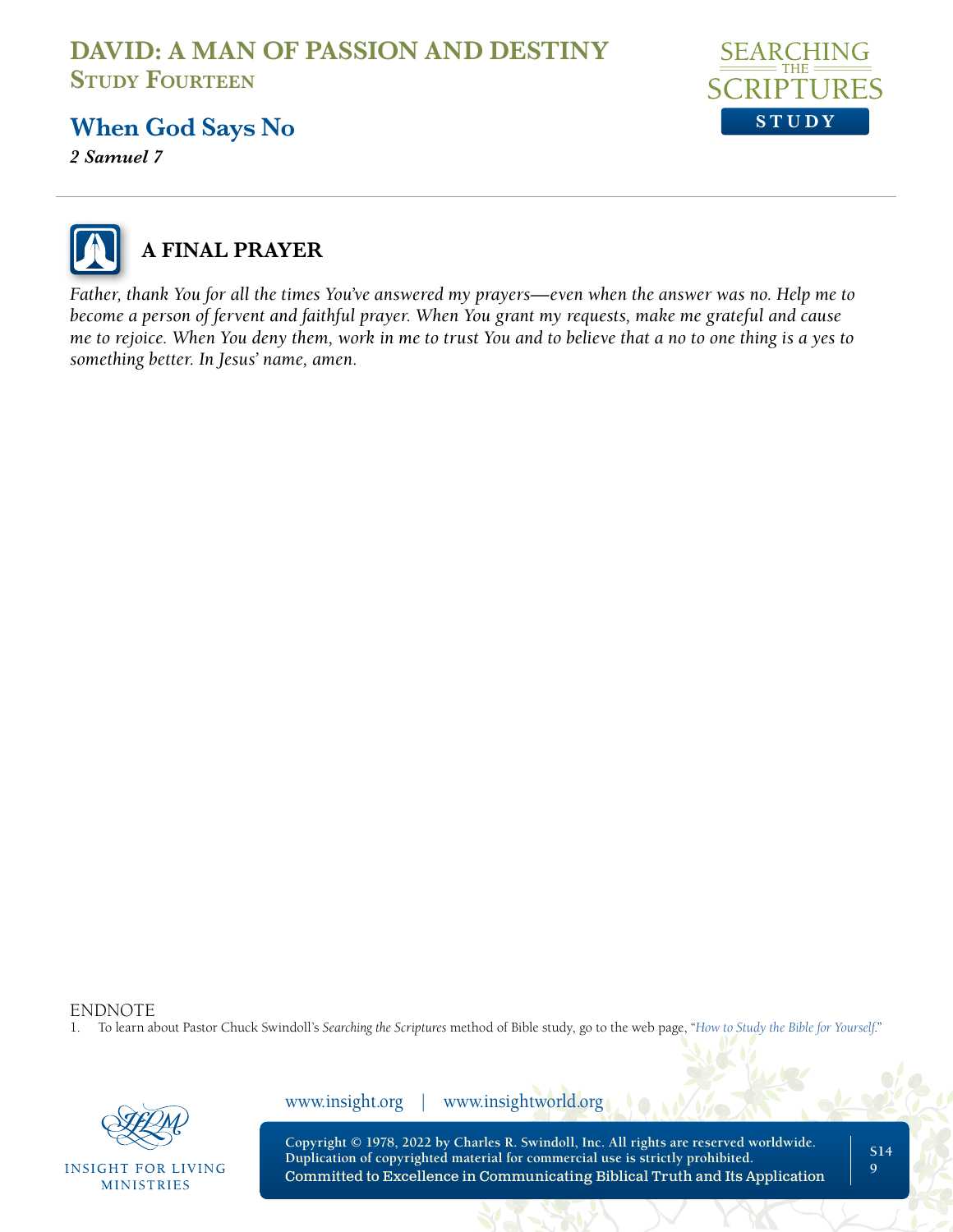

### **When God Says No**

*2 Samuel 7*



## **A FINAL PRAYER**

*Father, thank You for all the times You've answered my prayers—even when the answer was no. Help me to become a person of fervent and faithful prayer. When You grant my requests, make me grateful and cause me to rejoice. When You deny them, work in me to trust You and to believe that a no to one thing is a yes to something better. In Jesus' name, amen.*

ENDNOTE

1. To learn about Pastor Chuck Swindoll's *Searching the Scriptures* method of Bible study, go to the web page, "*[How to Study the Bible for Yourself](https://sts.insight.org/)*."



**INSIGHT FOR LIVING MINISTRIES** 

www.insight.org | www.insightworld.org